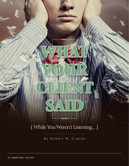

By Robert M. Gignac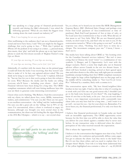I was speaking to a large group of financial professionals recently and during the Q&A afterwards, I was asked the following question: "What do you think the biggest issue coming down the track toward our industry is?"

Wow. I was hoping for an easy question.

After reaffirming to the audience that I am not a financial professional and never have been, I said "This just might be the biggest challenge that you're going to face…" With that I picked my iPhone off the podium (I was using it as a timer…), pressed menu, then music, then 'play' and held the phone up to my lapel microphone to catch the first dozen seconds of Meghan Trainor's song *Lips are Movin:*

If your lips are moving, If your lips are moving,

If your lips are moving, Then you're lyin', lyin' lyin'

Admittedly, it's catchier with the music than on the printed page. I could tell from the looks I was receiving, that they weren't sure what to make of it. In fact, one agitated advisor asked "Do you think we're lying to our clients?" "Not at all," I replied, followed by "but my fear for you is that you're going to hear this refrain a lot soon. Why? Because the media and the banks are telling everyone who'll listen – including your clients - that's what Financial Advisors have been doing for a long time. The CRM2 compliant statements which will start hitting mailboxes later this year are likely to generate some interesting conversations."

I know what you're thinking, "But Robert, I had this conversation with my client; we talked about fees, costs, MERs, transactions, trailers, and commissions." I'm sure you did. There are two parts to an excellent conversation – the 'telling' and the 'understanding.' I'm sure you did a great job on the 'telling,' but in 90% of the cases I've encountered, when a client is confused or angry it's because, although you thought you were crystal clear in the communication, the client was left feeling like the algae filled pool at the 2016 Rio Olympics – which is to say – not crystal clear.

**There are two parts to an excellent conversation – the 'telling' and the 'understanding.'** 

Yes, as a client, we've heard you use terms like MER (Management Expense Ratio), DSC (Deferred Sales Charge) and perhaps even Front End Load (payment of fees/commissions at time of purchase), Back End Load (payment of fees at time of sale), or No Load (zero fees/commissions to buy or sell). What did any of that mean to us? Very little. Why? We are not financial professionals, we don't want to be, and that's why we turn to you. If the conversation turned to "What is this going to cost me?" at all, the response was often, "Nothing. You don't have to write me a cheque. The investment company pays me." I know, I know – that's not it.

The media have been talking about CRM2 as "the looming crisis for the Canadian financial services industry." But isn't it interesting that in Chinese the word "crisis" is a combination of two symbols: 1) Danger, and 2) Opportunity. Let's start with the danger scenario. Here's a scene that might play out in financial advisor offices across Canada in the not too distant future. A client will have booked a meeting, arrived at their agreed upon time and when shown to the office may walk right past an extended handshake attempt holding their first CRM2 compliant statement. There might be large yellow highlighted area on that page and in the middle will be something similar to *"Your Cost/Fee for Service Was:"* followed by a number, likely with a comma in it.

The conversation opens with, "My best friend/neighbor/idiot brother-in-law was right. I had no idea this is what it's costing me to work with you! Give me one good reason why I shouldn't just go to the bank now, because it's *free* there!" Ok, stop laughing, I know it's not free at the bank, so do you – but you are now about to have a very important conversation with a potentially irate client (who you may have had for a long time…) and I want it to go well – not just for you – but for your client too. Remember, I've never been you, the financial professional; I've only ever been the client.

I believe that financial professionals in Canada today are faced with an incredible opportunity. The CRM2 opportunity exists because for the first time you will be able to show the value that you deliver for your clients against a number they've never seen before. In any transaction value is delivered when the client's perception of the value received exceeds the expectation.

This is where the 'opportunity' lies.

I believe it is the conversation that happens next that is key. You'll need to reduce the confusion and potentially diffuse some anger. You get to educate the client. Can they move to the bank? Sure. But it's not free there either, and you need to explain that. Is it cheaper there? Maybe. Your role is to help them understand that if the yellow highlighted area contains a value of  $-$  say \$3,500.00